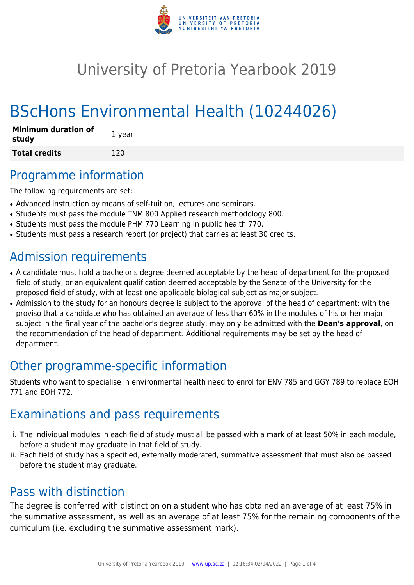

# University of Pretoria Yearbook 2019

# BScHons Environmental Health (10244026)

| <b>Minimum duration of</b><br>study | 1 year |
|-------------------------------------|--------|
| <b>Total credits</b>                | 120    |

## Programme information

The following requirements are set:

- Advanced instruction by means of self-tuition, lectures and seminars.
- Students must pass the module TNM 800 Applied research methodology 800.
- Students must pass the module PHM 770 Learning in public health 770.
- Students must pass a research report (or project) that carries at least 30 credits.

# Admission requirements

- A candidate must hold a bachelor's degree deemed acceptable by the head of department for the proposed field of study, or an equivalent qualification deemed acceptable by the Senate of the University for the proposed field of study, with at least one applicable biological subject as major subject.
- Admission to the study for an honours degree is subject to the approval of the head of department: with the proviso that a candidate who has obtained an average of less than 60% in the modules of his or her major subject in the final year of the bachelor's degree study, may only be admitted with the **Dean's approval**, on the recommendation of the head of department. Additional requirements may be set by the head of department.

# Other programme-specific information

Students who want to specialise in environmental health need to enrol for ENV 785 and GGY 789 to replace EOH 771 and EOH 772.

# Examinations and pass requirements

- i. The individual modules in each field of study must all be passed with a mark of at least 50% in each module, before a student may graduate in that field of study.
- ii. Each field of study has a specified, externally moderated, summative assessment that must also be passed before the student may graduate.

# Pass with distinction

The degree is conferred with distinction on a student who has obtained an average of at least 75% in the summative assessment, as well as an average of at least 75% for the remaining components of the curriculum (i.e. excluding the summative assessment mark).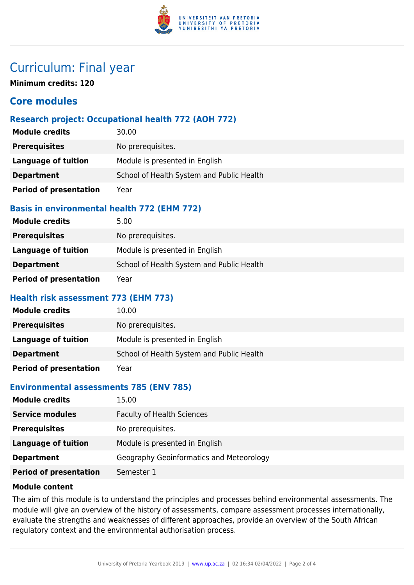

## Curriculum: Final year

**Minimum credits: 120**

### **Core modules**

#### **Research project: Occupational health 772 (AOH 772)**

| <b>Module credits</b>         | 30.00                                     |
|-------------------------------|-------------------------------------------|
| <b>Prerequisites</b>          | No prerequisites.                         |
| <b>Language of tuition</b>    | Module is presented in English            |
| <b>Department</b>             | School of Health System and Public Health |
| <b>Period of presentation</b> | Year                                      |

#### **Basis in environmental health 772 (EHM 772)**

| <b>Module credits</b>         | 5.00                                      |
|-------------------------------|-------------------------------------------|
| <b>Prerequisites</b>          | No prerequisites.                         |
| Language of tuition           | Module is presented in English            |
| <b>Department</b>             | School of Health System and Public Health |
| <b>Period of presentation</b> | Year                                      |

#### **Health risk assessment 773 (EHM 773)**

| <b>Module credits</b>         | 10.00                                     |
|-------------------------------|-------------------------------------------|
| <b>Prerequisites</b>          | No prerequisites.                         |
| Language of tuition           | Module is presented in English            |
| <b>Department</b>             | School of Health System and Public Health |
| <b>Period of presentation</b> | Year                                      |

#### **Environmental assessments 785 (ENV 785)**

| <b>Module credits</b>         | 15.00                                    |
|-------------------------------|------------------------------------------|
| <b>Service modules</b>        | <b>Faculty of Health Sciences</b>        |
| <b>Prerequisites</b>          | No prerequisites.                        |
| <b>Language of tuition</b>    | Module is presented in English           |
| <b>Department</b>             | Geography Geoinformatics and Meteorology |
| <b>Period of presentation</b> | Semester 1                               |

#### **Module content**

The aim of this module is to understand the principles and processes behind environmental assessments. The module will give an overview of the history of assessments, compare assessment processes internationally, evaluate the strengths and weaknesses of different approaches, provide an overview of the South African regulatory context and the environmental authorisation process.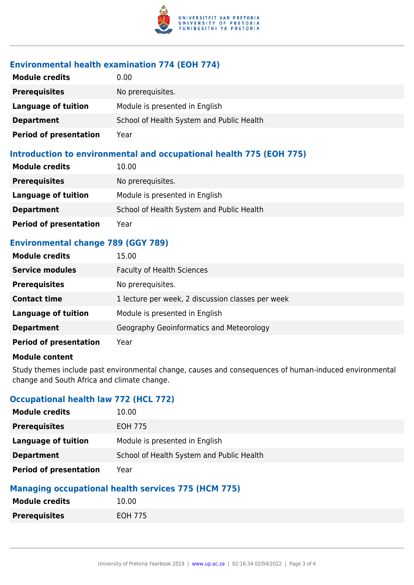

### **Environmental health examination 774 (EOH 774)**

| <b>Module credits</b>         | $0.00\,$                                  |
|-------------------------------|-------------------------------------------|
| <b>Prerequisites</b>          | No prerequisites.                         |
| Language of tuition           | Module is presented in English            |
| <b>Department</b>             | School of Health System and Public Health |
| <b>Period of presentation</b> | Year                                      |

#### **Introduction to environmental and occupational health 775 (EOH 775)**

| <b>Module credits</b>         | 10.00                                     |
|-------------------------------|-------------------------------------------|
| <b>Prerequisites</b>          | No prerequisites.                         |
| Language of tuition           | Module is presented in English            |
| <b>Department</b>             | School of Health System and Public Health |
| <b>Period of presentation</b> | Year                                      |

### **Environmental change 789 (GGY 789)**

| <b>Module credits</b>         | 15.00                                             |
|-------------------------------|---------------------------------------------------|
| <b>Service modules</b>        | <b>Faculty of Health Sciences</b>                 |
| <b>Prerequisites</b>          | No prerequisites.                                 |
| <b>Contact time</b>           | 1 lecture per week, 2 discussion classes per week |
| <b>Language of tuition</b>    | Module is presented in English                    |
| <b>Department</b>             | Geography Geoinformatics and Meteorology          |
| <b>Period of presentation</b> | Year                                              |

#### **Module content**

Study themes include past environmental change, causes and consequences of human-induced environmental change and South Africa and climate change.

### **Occupational health law 772 (HCL 772)**

| <b>Module credits</b>         | 10.00                                     |
|-------------------------------|-------------------------------------------|
| <b>Prerequisites</b>          | EOH 775                                   |
| Language of tuition           | Module is presented in English            |
| <b>Department</b>             | School of Health System and Public Health |
| <b>Period of presentation</b> | Year                                      |

### **Managing occupational health services 775 (HCM 775)**

| <b>Module credits</b> | 10.00   |
|-----------------------|---------|
| <b>Prerequisites</b>  | EOH 775 |